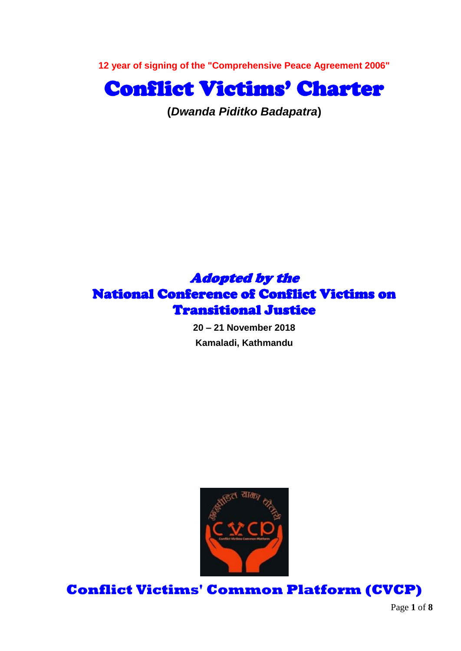**12 year of signing of the "Comprehensive Peace Agreement 2006"**



**(***Dwanda Piditko Badapatra***)**

## Adopted by the National Conference of Conflict Victims on Transitional Justice

**20 – 21 November 2018 Kamaladi, Kathmandu**



**Conflict Victims' Common Platform (CVCP)**

Page **1** of **8**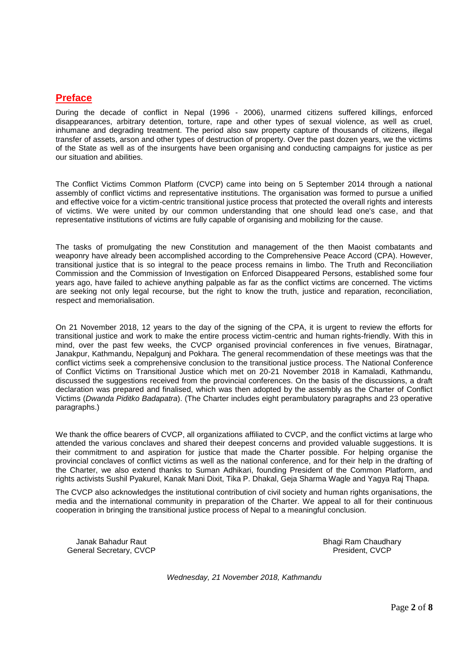#### **Preface**

During the decade of conflict in Nepal (1996 - 2006), unarmed citizens suffered killings, enforced disappearances, arbitrary detention, torture, rape and other types of sexual violence, as well as cruel, inhumane and degrading treatment. The period also saw property capture of thousands of citizens, illegal transfer of assets, arson and other types of destruction of property. Over the past dozen years, we the victims of the State as well as of the insurgents have been organising and conducting campaigns for justice as per our situation and abilities.

The Conflict Victims Common Platform (CVCP) came into being on 5 September 2014 through a national assembly of conflict victims and representative institutions. The organisation was formed to pursue a unified and effective voice for a victim-centric transitional justice process that protected the overall rights and interests of victims. We were united by our common understanding that one should lead one's case, and that representative institutions of victims are fully capable of organising and mobilizing for the cause.

The tasks of promulgating the new Constitution and management of the then Maoist combatants and weaponry have already been accomplished according to the Comprehensive Peace Accord (CPA). However, transitional justice that is so integral to the peace process remains in limbo. The Truth and Reconciliation Commission and the Commission of Investigation on Enforced Disappeared Persons, established some four years ago, have failed to achieve anything palpable as far as the conflict victims are concerned. The victims are seeking not only legal recourse, but the right to know the truth, justice and reparation, reconciliation, respect and memorialisation.

On 21 November 2018, 12 years to the day of the signing of the CPA, it is urgent to review the efforts for transitional justice and work to make the entire process victim-centric and human rights-friendly. With this in mind, over the past few weeks, the CVCP organised provincial conferences in five venues, Biratnagar, Janakpur, Kathmandu, Nepalgunj and Pokhara. The general recommendation of these meetings was that the conflict victims seek a comprehensive conclusion to the transitional justice process. The National Conference of Conflict Victims on Transitional Justice which met on 20-21 November 2018 in Kamaladi, Kathmandu, discussed the suggestions received from the provincial conferences. On the basis of the discussions, a draft declaration was prepared and finalised, which was then adopted by the assembly as the Charter of Conflict Victims (*Dwanda Piditko Badapatra*). (The Charter includes eight perambulatory paragraphs and 23 operative paragraphs.)

We thank the office bearers of CVCP, all organizations affiliated to CVCP, and the conflict victims at large who attended the various conclaves and shared their deepest concerns and provided valuable suggestions. It is their commitment to and aspiration for justice that made the Charter possible. For helping organise the provincial conclaves of conflict victims as well as the national conference, and for their help in the drafting of the Charter, we also extend thanks to Suman Adhikari, founding President of the Common Platform, and rights activists Sushil Pyakurel, Kanak Mani Dixit, Tika P. Dhakal, Geja Sharma Wagle and Yagya Raj Thapa.

The CVCP also acknowledges the institutional contribution of civil society and human rights organisations, the media and the international community in preparation of the Charter. We appeal to all for their continuous cooperation in bringing the transitional justice process of Nepal to a meaningful conclusion.

Janak Bahadur Raut Bhagi Ram Chaudhary Bhagi Ram Chaudhary General Secretary, CVCP and COV President, CVCP President, CVCP

*Wednesday, 21 November 2018, Kathmandu*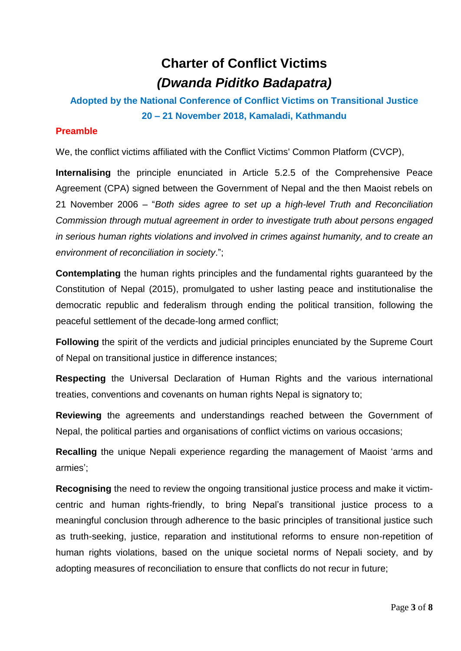# **Charter of Conflict Victims** *(Dwanda Piditko Badapatra)*

### **Adopted by the National Conference of Conflict Victims on Transitional Justice 20 – 21 November 2018, Kamaladi, Kathmandu**

### **Preamble**

We, the conflict victims affiliated with the Conflict Victims' Common Platform (CVCP),

**Internalising** the principle enunciated in Article 5.2.5 of the Comprehensive Peace Agreement (CPA) signed between the Government of Nepal and the then Maoist rebels on 21 November 2006 – "*Both sides agree to set up a high-level Truth and Reconciliation Commission through mutual agreement in order to investigate truth about persons engaged in serious human rights violations and involved in crimes against humanity, and to create an environment of reconciliation in society*.";

**Contemplating** the human rights principles and the fundamental rights guaranteed by the Constitution of Nepal (2015), promulgated to usher lasting peace and institutionalise the democratic republic and federalism through ending the political transition, following the peaceful settlement of the decade-long armed conflict;

**Following** the spirit of the verdicts and judicial principles enunciated by the Supreme Court of Nepal on transitional justice in difference instances;

**Respecting** the Universal Declaration of Human Rights and the various international treaties, conventions and covenants on human rights Nepal is signatory to;

**Reviewing** the agreements and understandings reached between the Government of Nepal, the political parties and organisations of conflict victims on various occasions;

**Recalling** the unique Nepali experience regarding the management of Maoist "arms and armies':

**Recognising** the need to review the ongoing transitional justice process and make it victimcentric and human rights-friendly, to bring Nepal"s transitional justice process to a meaningful conclusion through adherence to the basic principles of transitional justice such as truth-seeking, justice, reparation and institutional reforms to ensure non-repetition of human rights violations, based on the unique societal norms of Nepali society, and by adopting measures of reconciliation to ensure that conflicts do not recur in future;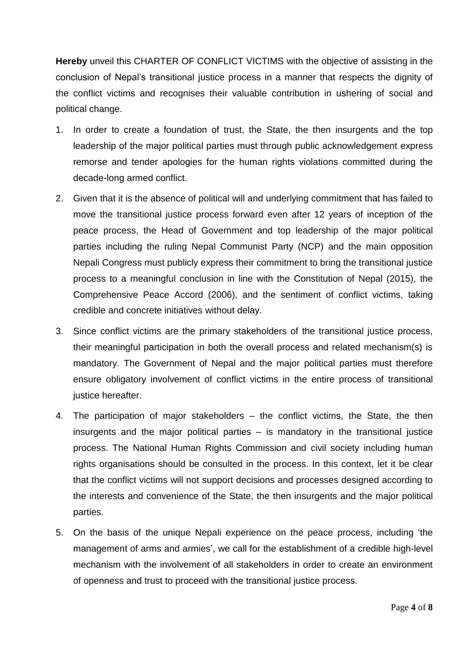**Hereby** unveil this CHARTER OF CONFLICT VICTIMS with the objective of assisting in the conclusion of Nepal"s transitional justice process in a manner that respects the dignity of the conflict victims and recognises their valuable contribution in ushering of social and political change.

- 1. In order to create a foundation of trust, the State, the then insurgents and the top leadership of the major political parties must through public acknowledgement express remorse and tender apologies for the human rights violations committed during the decade-long armed conflict.
- 2. Given that it is the absence of political will and underlying commitment that has failed to move the transitional justice process forward even after 12 years of inception of the peace process, the Head of Government and top leadership of the major political parties including the ruling Nepal Communist Party (NCP) and the main opposition Nepali Congress must publicly express their commitment to bring the transitional justice process to a meaningful conclusion in line with the Constitution of Nepal (2015), the Comprehensive Peace Accord (2006), and the sentiment of conflict victims, taking credible and concrete initiatives without delay.
- 3. Since conflict victims are the primary stakeholders of the transitional justice process, their meaningful participation in both the overall process and related mechanism(s) is mandatory. The Government of Nepal and the major political parties must therefore ensure obligatory involvement of conflict victims in the entire process of transitional justice hereafter.
- 4. The participation of major stakeholders the conflict victims, the State, the then insurgents and the major political parties – is mandatory in the transitional justice process. The National Human Rights Commission and civil society including human rights organisations should be consulted in the process. In this context, let it be clear that the conflict victims will not support decisions and processes designed according to the interests and convenience of the State, the then insurgents and the major political parties.
- 5. On the basis of the unique Nepali experience on the peace process, including "the management of arms and armies", we call for the establishment of a credible high-level mechanism with the involvement of all stakeholders in order to create an environment of openness and trust to proceed with the transitional justice process.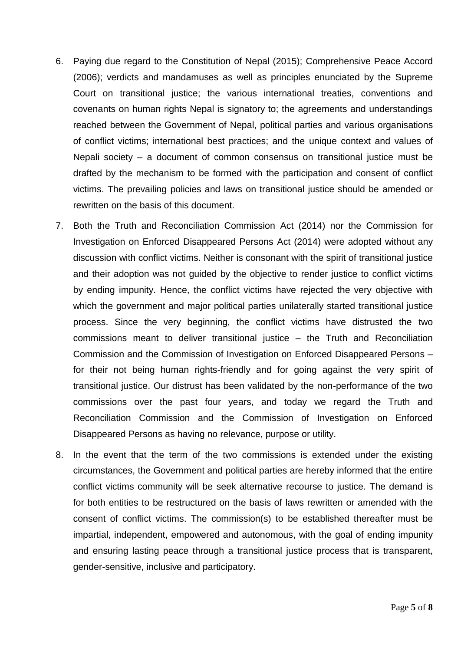- 6. Paying due regard to the Constitution of Nepal (2015); Comprehensive Peace Accord (2006); verdicts and mandamuses as well as principles enunciated by the Supreme Court on transitional justice; the various international treaties, conventions and covenants on human rights Nepal is signatory to; the agreements and understandings reached between the Government of Nepal, political parties and various organisations of conflict victims; international best practices; and the unique context and values of Nepali society – a document of common consensus on transitional justice must be drafted by the mechanism to be formed with the participation and consent of conflict victims. The prevailing policies and laws on transitional justice should be amended or rewritten on the basis of this document.
- 7. Both the Truth and Reconciliation Commission Act (2014) nor the Commission for Investigation on Enforced Disappeared Persons Act (2014) were adopted without any discussion with conflict victims. Neither is consonant with the spirit of transitional justice and their adoption was not guided by the objective to render justice to conflict victims by ending impunity. Hence, the conflict victims have rejected the very objective with which the government and major political parties unilaterally started transitional justice process. Since the very beginning, the conflict victims have distrusted the two commissions meant to deliver transitional justice – the Truth and Reconciliation Commission and the Commission of Investigation on Enforced Disappeared Persons – for their not being human rights-friendly and for going against the very spirit of transitional justice. Our distrust has been validated by the non-performance of the two commissions over the past four years, and today we regard the Truth and Reconciliation Commission and the Commission of Investigation on Enforced Disappeared Persons as having no relevance, purpose or utility.
- 8. In the event that the term of the two commissions is extended under the existing circumstances, the Government and political parties are hereby informed that the entire conflict victims community will be seek alternative recourse to justice. The demand is for both entities to be restructured on the basis of laws rewritten or amended with the consent of conflict victims. The commission(s) to be established thereafter must be impartial, independent, empowered and autonomous, with the goal of ending impunity and ensuring lasting peace through a transitional justice process that is transparent, gender-sensitive, inclusive and participatory.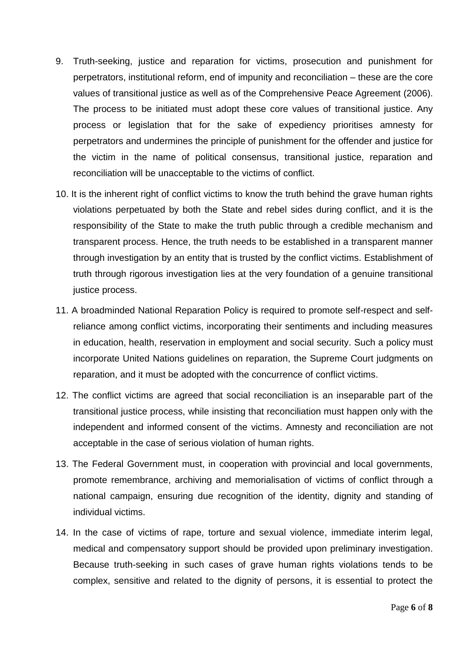- 9. Truth-seeking, justice and reparation for victims, prosecution and punishment for perpetrators, institutional reform, end of impunity and reconciliation – these are the core values of transitional justice as well as of the Comprehensive Peace Agreement (2006). The process to be initiated must adopt these core values of transitional justice. Any process or legislation that for the sake of expediency prioritises amnesty for perpetrators and undermines the principle of punishment for the offender and justice for the victim in the name of political consensus, transitional justice, reparation and reconciliation will be unacceptable to the victims of conflict.
- 10. It is the inherent right of conflict victims to know the truth behind the grave human rights violations perpetuated by both the State and rebel sides during conflict, and it is the responsibility of the State to make the truth public through a credible mechanism and transparent process. Hence, the truth needs to be established in a transparent manner through investigation by an entity that is trusted by the conflict victims. Establishment of truth through rigorous investigation lies at the very foundation of a genuine transitional justice process.
- 11. A broadminded National Reparation Policy is required to promote self-respect and selfreliance among conflict victims, incorporating their sentiments and including measures in education, health, reservation in employment and social security. Such a policy must incorporate United Nations guidelines on reparation, the Supreme Court judgments on reparation, and it must be adopted with the concurrence of conflict victims.
- 12. The conflict victims are agreed that social reconciliation is an inseparable part of the transitional justice process, while insisting that reconciliation must happen only with the independent and informed consent of the victims. Amnesty and reconciliation are not acceptable in the case of serious violation of human rights.
- 13. The Federal Government must, in cooperation with provincial and local governments, promote remembrance, archiving and memorialisation of victims of conflict through a national campaign, ensuring due recognition of the identity, dignity and standing of individual victims.
- 14. In the case of victims of rape, torture and sexual violence, immediate interim legal, medical and compensatory support should be provided upon preliminary investigation. Because truth-seeking in such cases of grave human rights violations tends to be complex, sensitive and related to the dignity of persons, it is essential to protect the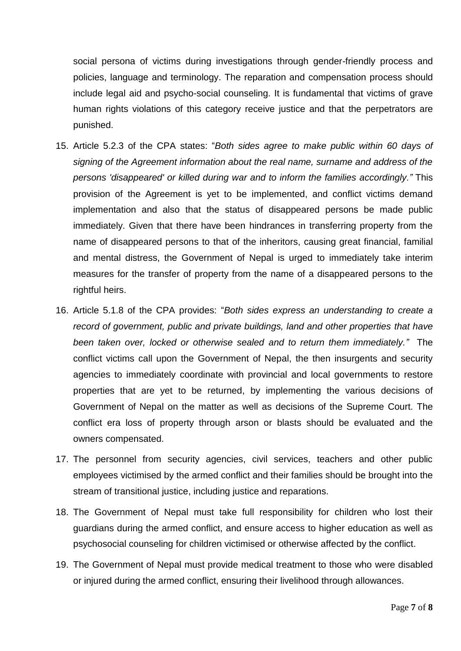social persona of victims during investigations through gender-friendly process and policies, language and terminology. The reparation and compensation process should include legal aid and psycho-social counseling. It is fundamental that victims of grave human rights violations of this category receive justice and that the perpetrators are punished.

- 15. Article 5.2.3 of the CPA states: "*Both sides agree to make public within 60 days of signing of the Agreement information about the real name, surname and address of the persons 'disappeared' or killed during war and to inform the families accordingly."* This provision of the Agreement is yet to be implemented, and conflict victims demand implementation and also that the status of disappeared persons be made public immediately. Given that there have been hindrances in transferring property from the name of disappeared persons to that of the inheritors, causing great financial, familial and mental distress, the Government of Nepal is urged to immediately take interim measures for the transfer of property from the name of a disappeared persons to the rightful heirs.
- 16. Article 5.1.8 of the CPA provides: "*Both sides express an understanding to create a record of government, public and private buildings, land and other properties that have been taken over, locked or otherwise sealed and to return them immediately."* The conflict victims call upon the Government of Nepal, the then insurgents and security agencies to immediately coordinate with provincial and local governments to restore properties that are yet to be returned, by implementing the various decisions of Government of Nepal on the matter as well as decisions of the Supreme Court. The conflict era loss of property through arson or blasts should be evaluated and the owners compensated.
- 17. The personnel from security agencies, civil services, teachers and other public employees victimised by the armed conflict and their families should be brought into the stream of transitional justice, including justice and reparations.
- 18. The Government of Nepal must take full responsibility for children who lost their guardians during the armed conflict, and ensure access to higher education as well as psychosocial counseling for children victimised or otherwise affected by the conflict.
- 19. The Government of Nepal must provide medical treatment to those who were disabled or injured during the armed conflict, ensuring their livelihood through allowances.